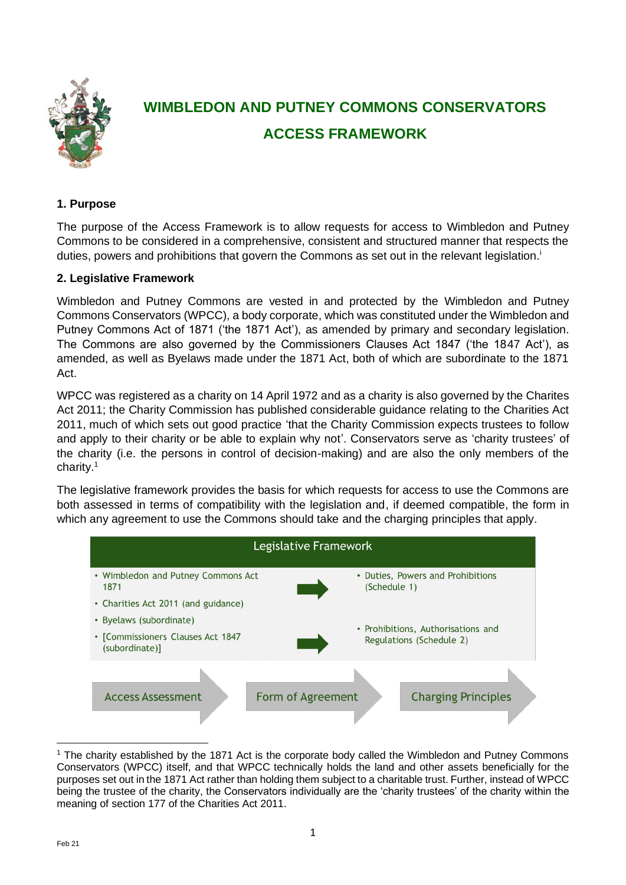

# **WIMBLEDON AND PUTNEY COMMONS CONSERVATORS ACCESS FRAMEWORK**

# **1. Purpose**

The purpose of the Access Framework is to allow requests for access to Wimbledon and Putney Commons to be considered in a comprehensive, consistent and structured manner that respects the duties, powers and prohibitions that govern the Commons as set out in the relevant legislation.<sup>1</sup>

#### **2. Legislative Framework**

Wimbledon and Putney Commons are vested in and protected by the Wimbledon and Putney Commons Conservators (WPCC), a body corporate, which was constituted under the Wimbledon and Putney Commons Act of 1871 ('the 1871 Act'), as amended by primary and secondary legislation. The Commons are also governed by the Commissioners Clauses Act 1847 ('the 1847 Act'), as amended, as well as Byelaws made under the 1871 Act, both of which are subordinate to the 1871 Act.

WPCC was registered as a charity on 14 April 1972 and as a charity is also governed by the Charites Act 2011; the Charity Commission has published considerable guidance relating to the Charities Act 2011, much of which sets out good practice 'that the Charity Commission expects trustees to follow and apply to their charity or be able to explain why not'. Conservators serve as 'charity trustees' of the charity (i.e. the persons in control of decision-making) and are also the only members of the charity.<sup>1</sup>

The legislative framework provides the basis for which requests for access to use the Commons are both assessed in terms of compatibility with the legislation and, if deemed compatible, the form in which any agreement to use the Commons should take and the charging principles that apply.



<sup>1</sup> The charity established by the 1871 Act is the corporate body called the Wimbledon and Putney Commons Conservators (WPCC) itself, and that WPCC technically holds the land and other assets beneficially for the purposes set out in the 1871 Act rather than holding them subject to a charitable trust. Further, instead of WPCC being the trustee of the charity, the Conservators individually are the 'charity trustees' of the charity within the meaning of section 177 of the Charities Act 2011.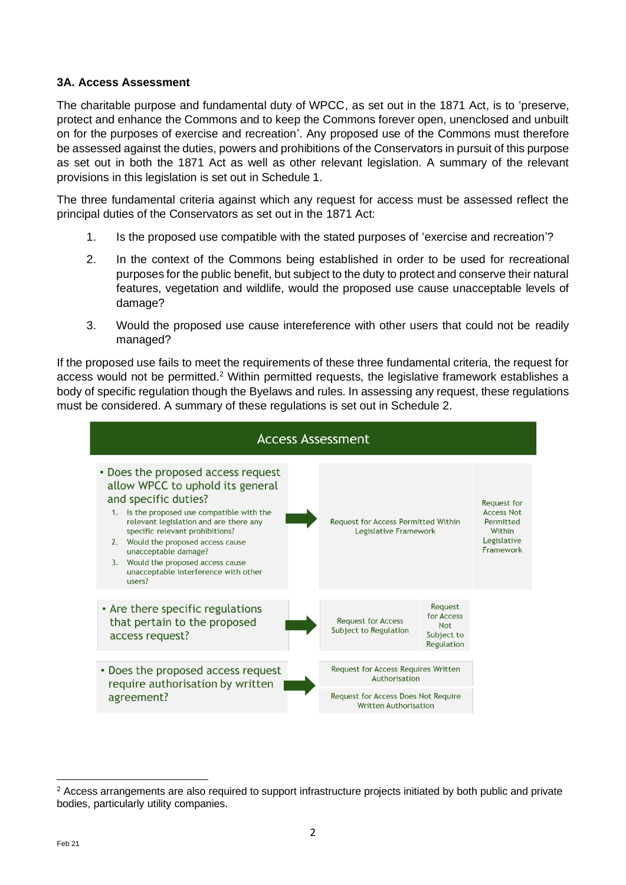# **3A. Access Assessment**

The charitable purpose and fundamental duty of WPCC, as set out in the 1871 Act, is to 'preserve, protect and enhance the Commons and to keep the Commons forever open, unenclosed and unbuilt on for the purposes of exercise and recreation'. Any proposed use of the Commons must therefore be assessed against the duties, powers and prohibitions of the Conservators in pursuit of this purpose as set out in both the 1871 Act as well as other relevant legislation. A summary of the relevant provisions in this legislation is set out in Schedule 1.

The three fundamental criteria against which any request for access must be assessed reflect the principal duties of the Conservators as set out in the 1871 Act:

- 1. Is the proposed use compatible with the stated purposes of 'exercise and recreation'?
- 2. In the context of the Commons being established in order to be used for recreational purposes for the public benefit, but subject to the duty to protect and conserve their natural features, vegetation and wildlife, would the proposed use cause unacceptable levels of damage?
- 3. Would the proposed use cause intereference with other users that could not be readily managed?

If the proposed use fails to meet the requirements of these three fundamental criteria, the request for access would not be permitted.<sup>2</sup> Within permitted requests, the legislative framework establishes a body of specific regulation though the Byelaws and rules. In assessing any request, these regulations must be considered. A summary of these regulations is set out in Schedule 2.



<sup>&</sup>lt;sup>2</sup> Access arrangements are also required to support infrastructure projects initiated by both public and private bodies, particularly utility companies.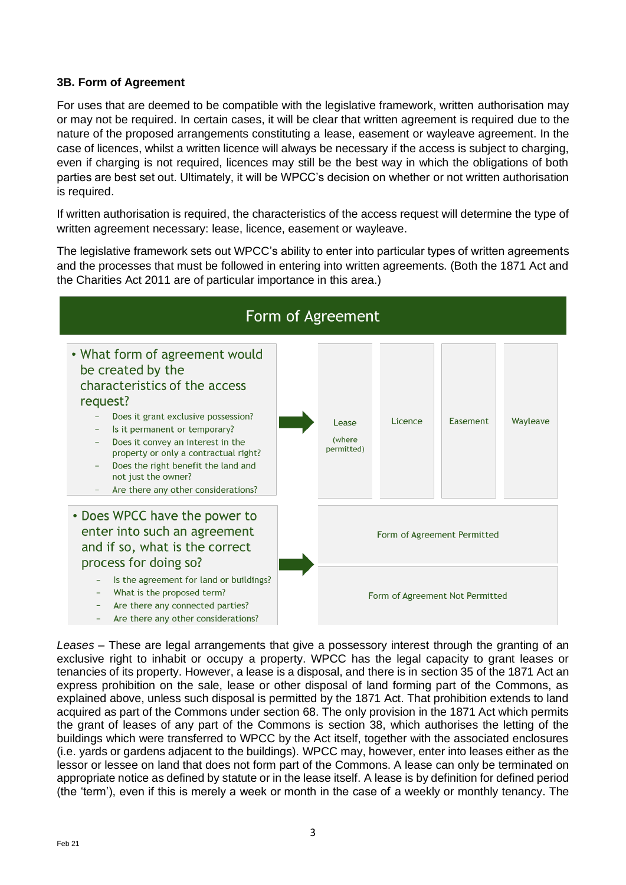# **3B. Form of Agreement**

For uses that are deemed to be compatible with the legislative framework, written authorisation may or may not be required. In certain cases, it will be clear that written agreement is required due to the nature of the proposed arrangements constituting a lease, easement or wayleave agreement. In the case of licences, whilst a written licence will always be necessary if the access is subject to charging, even if charging is not required, licences may still be the best way in which the obligations of both parties are best set out. Ultimately, it will be WPCC's decision on whether or not written authorisation is required.

If written authorisation is required, the characteristics of the access request will determine the type of written agreement necessary: lease, licence, easement or wayleave.

The legislative framework sets out WPCC's ability to enter into particular types of written agreements and the processes that must be followed in entering into written agreements. (Both the 1871 Act and the Charities Act 2011 are of particular importance in this area.)



*Leases* – These are legal arrangements that give a possessory interest through the granting of an exclusive right to inhabit or occupy a property. WPCC has the legal capacity to grant leases or tenancies of its property. However, a lease is a disposal, and there is in section 35 of the 1871 Act an express prohibition on the sale, lease or other disposal of land forming part of the Commons, as explained above, unless such disposal is permitted by the 1871 Act. That prohibition extends to land acquired as part of the Commons under section 68. The only provision in the 1871 Act which permits the grant of leases of any part of the Commons is section 38, which authorises the letting of the buildings which were transferred to WPCC by the Act itself, together with the associated enclosures (i.e. yards or gardens adjacent to the buildings). WPCC may, however, enter into leases either as the lessor or lessee on land that does not form part of the Commons. A lease can only be terminated on appropriate notice as defined by statute or in the lease itself. A lease is by definition for defined period (the 'term'), even if this is merely a week or month in the case of a weekly or monthly tenancy. The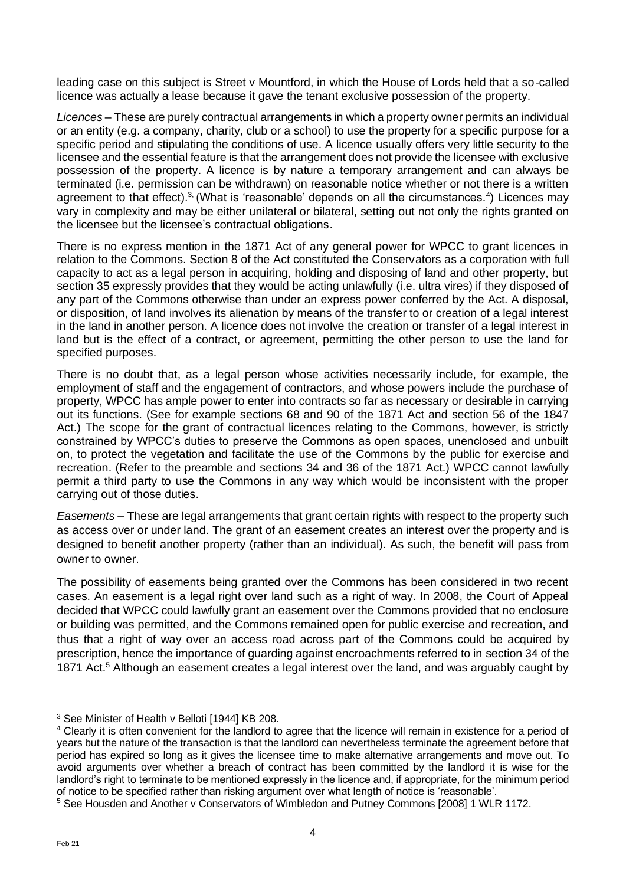leading case on this subject is Street v Mountford, in which the House of Lords held that a so-called licence was actually a lease because it gave the tenant exclusive possession of the property.

*Licences –* These are purely contractual arrangements in which a property owner permits an individual or an entity (e.g. a company, charity, club or a school) to use the property for a specific purpose for a specific period and stipulating the conditions of use. A licence usually offers very little security to the licensee and the essential feature is that the arrangement does not provide the licensee with exclusive possession of the property. A licence is by nature a temporary arrangement and can always be terminated (i.e. permission can be withdrawn) on reasonable notice whether or not there is a written agreement to that effect).<sup>3,</sup> (What is 'reasonable' depends on all the circumstances.<sup>4</sup>) Licences may vary in complexity and may be either unilateral or bilateral, setting out not only the rights granted on the licensee but the licensee's contractual obligations.

There is no express mention in the 1871 Act of any general power for WPCC to grant licences in relation to the Commons. Section 8 of the Act constituted the Conservators as a corporation with full capacity to act as a legal person in acquiring, holding and disposing of land and other property, but section 35 expressly provides that they would be acting unlawfully (i.e. ultra vires) if they disposed of any part of the Commons otherwise than under an express power conferred by the Act. A disposal, or disposition, of land involves its alienation by means of the transfer to or creation of a legal interest in the land in another person. A licence does not involve the creation or transfer of a legal interest in land but is the effect of a contract, or agreement, permitting the other person to use the land for specified purposes.

There is no doubt that, as a legal person whose activities necessarily include, for example, the employment of staff and the engagement of contractors, and whose powers include the purchase of property, WPCC has ample power to enter into contracts so far as necessary or desirable in carrying out its functions. (See for example sections 68 and 90 of the 1871 Act and section 56 of the 1847 Act.) The scope for the grant of contractual licences relating to the Commons, however, is strictly constrained by WPCC's duties to preserve the Commons as open spaces, unenclosed and unbuilt on, to protect the vegetation and facilitate the use of the Commons by the public for exercise and recreation. (Refer to the preamble and sections 34 and 36 of the 1871 Act.) WPCC cannot lawfully permit a third party to use the Commons in any way which would be inconsistent with the proper carrying out of those duties.

*Easements –* These are legal arrangements that grant certain rights with respect to the property such as access over or under land. The grant of an easement creates an interest over the property and is designed to benefit another property (rather than an individual). As such, the benefit will pass from owner to owner.

The possibility of easements being granted over the Commons has been considered in two recent cases. An easement is a legal right over land such as a right of way. In 2008, the Court of Appeal decided that WPCC could lawfully grant an easement over the Commons provided that no enclosure or building was permitted, and the Commons remained open for public exercise and recreation, and thus that a right of way over an access road across part of the Commons could be acquired by prescription, hence the importance of guarding against encroachments referred to in section 34 of the 1871 Act.<sup>5</sup> Although an easement creates a legal interest over the land, and was arguably caught by

<sup>3</sup> See Minister of Health v Belloti [1944] KB 208.

<sup>&</sup>lt;sup>4</sup> Clearly it is often convenient for the landlord to agree that the licence will remain in existence for a period of years but the nature of the transaction is that the landlord can nevertheless terminate the agreement before that period has expired so long as it gives the licensee time to make alternative arrangements and move out. To avoid arguments over whether a breach of contract has been committed by the landlord it is wise for the landlord's right to terminate to be mentioned expressly in the licence and, if appropriate, for the minimum period of notice to be specified rather than risking argument over what length of notice is 'reasonable'.

<sup>&</sup>lt;sup>5</sup> See Housden and Another v Conservators of Wimbledon and Putney Commons [2008] 1 WLR 1172.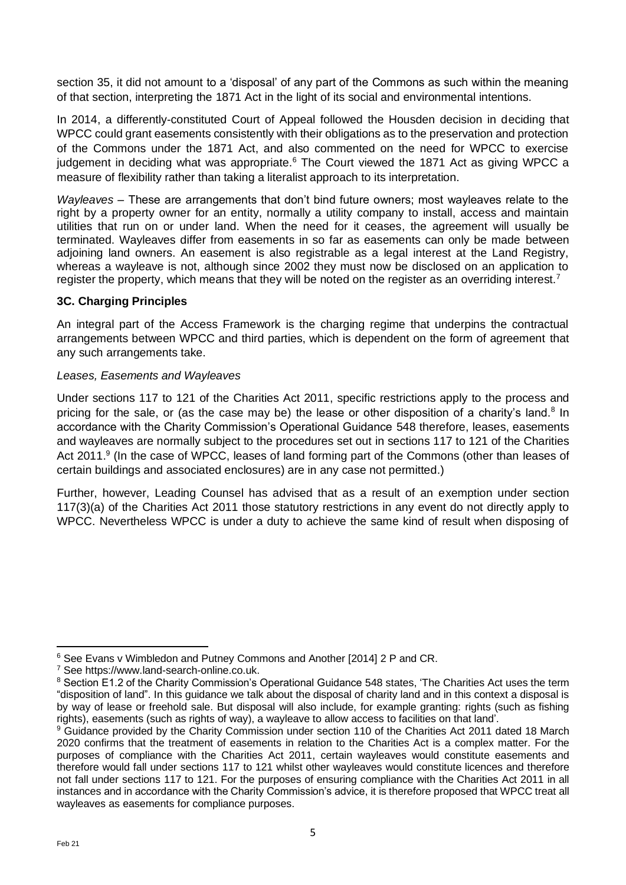section 35, it did not amount to a 'disposal' of any part of the Commons as such within the meaning of that section, interpreting the 1871 Act in the light of its social and environmental intentions.

In 2014, a differently-constituted Court of Appeal followed the Housden decision in deciding that WPCC could grant easements consistently with their obligations as to the preservation and protection of the Commons under the 1871 Act, and also commented on the need for WPCC to exercise judgement in deciding what was appropriate. $6$  The Court viewed the 1871 Act as giving WPCC a measure of flexibility rather than taking a literalist approach to its interpretation.

*Wayleaves –* These are arrangements that don't bind future owners; most wayleaves relate to the right by a property owner for an entity, normally a utility company to install, access and maintain utilities that run on or under land. When the need for it ceases, the agreement will usually be terminated. Wayleaves differ from easements in so far as easements can only be made between adjoining land owners. An easement is also registrable as a legal interest at the Land Registry, whereas a wayleave is not, although since 2002 they must now be disclosed on an application to register the property, which means that they will be noted on the register as an overriding interest.<sup>7</sup>

# **3C. Charging Principles**

An integral part of the Access Framework is the charging regime that underpins the contractual arrangements between WPCC and third parties, which is dependent on the form of agreement that any such arrangements take.

#### *Leases, Easements and Wayleaves*

Under sections 117 to 121 of the Charities Act 2011, specific restrictions apply to the process and pricing for the sale, or (as the case may be) the lease or other disposition of a charity's land.<sup>8</sup> In accordance with the Charity Commission's Operational Guidance 548 therefore, leases, easements and wayleaves are normally subject to the procedures set out in sections 117 to 121 of the Charities Act 2011.<sup>9</sup> (In the case of WPCC, leases of land forming part of the Commons (other than leases of certain buildings and associated enclosures) are in any case not permitted.)

Further, however, Leading Counsel has advised that as a result of an exemption under section 117(3)(a) of the Charities Act 2011 those statutory restrictions in any event do not directly apply to WPCC. Nevertheless WPCC is under a duty to achieve the same kind of result when disposing of

<sup>6</sup> See Evans v Wimbledon and Putney Commons and Another [2014] 2 P and CR.

<sup>7</sup> See https://www.land-search-online.co.uk.

<sup>&</sup>lt;sup>8</sup> Section E1.2 of the Charity Commission's Operational Guidance 548 states, 'The Charities Act uses the term "disposition of land". In this guidance we talk about the disposal of charity land and in this context a disposal is by way of lease or freehold sale. But disposal will also include, for example granting: rights (such as fishing rights), easements (such as rights of way), a wayleave to allow access to facilities on that land'.

<sup>&</sup>lt;sup>9</sup> Guidance provided by the Charity Commission under section 110 of the Charities Act 2011 dated 18 March 2020 confirms that the treatment of easements in relation to the Charities Act is a complex matter. For the purposes of compliance with the Charities Act 2011, certain wayleaves would constitute easements and therefore would fall under sections 117 to 121 whilst other wayleaves would constitute licences and therefore not fall under sections 117 to 121. For the purposes of ensuring compliance with the Charities Act 2011 in all instances and in accordance with the Charity Commission's advice, it is therefore proposed that WPCC treat all wayleaves as easements for compliance purposes.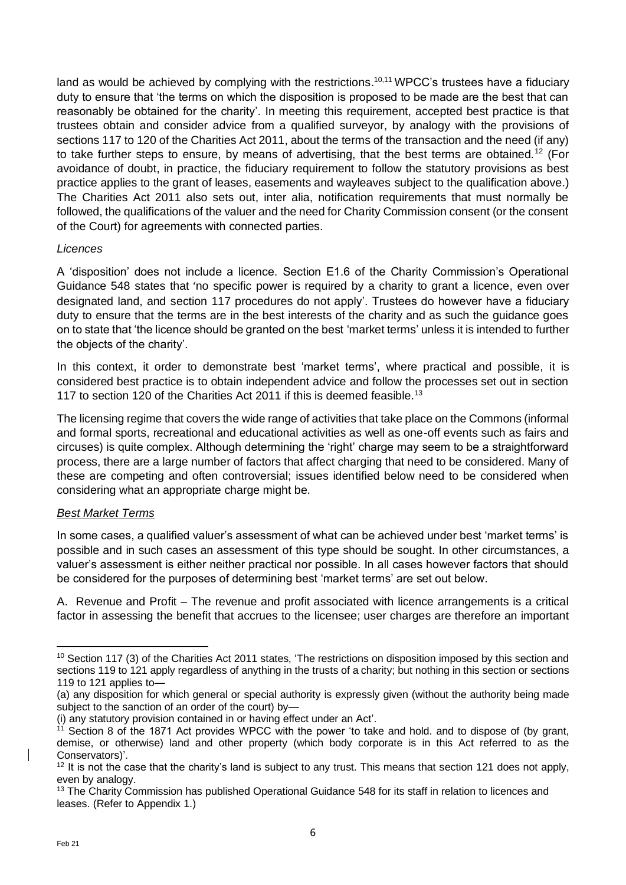land as would be achieved by complying with the restrictions.<sup>10,11</sup> WPCC's trustees have a fiduciary duty to ensure that 'the terms on which the disposition is proposed to be made are the best that can reasonably be obtained for the charity'. In meeting this requirement, accepted best practice is that trustees obtain and consider advice from a qualified surveyor, by analogy with the provisions of sections 117 to 120 of the Charities Act 2011, about the terms of the transaction and the need (if any) to take further steps to ensure, by means of advertising, that the best terms are obtained.<sup>12</sup> (For avoidance of doubt, in practice, the fiduciary requirement to follow the statutory provisions as best practice applies to the grant of leases, easements and wayleaves subject to the qualification above.) The Charities Act 2011 also sets out, inter alia, notification requirements that must normally be followed, the qualifications of the valuer and the need for Charity Commission consent (or the consent of the Court) for agreements with connected parties.

#### *Licences*

A 'disposition' does not include a licence. Section E1.6 of the Charity Commission's Operational Guidance 548 states that 'no specific power is required by a charity to grant a licence, even over designated land, and section 117 procedures do not apply'. Trustees do however have a fiduciary duty to ensure that the terms are in the best interests of the charity and as such the guidance goes on to state that 'the licence should be granted on the best 'market terms' unless it is intended to further the objects of the charity'.

In this context, it order to demonstrate best 'market terms', where practical and possible, it is considered best practice is to obtain independent advice and follow the processes set out in section 117 to section 120 of the Charities Act 2011 if this is deemed feasible.<sup>13</sup>

The licensing regime that covers the wide range of activities that take place on the Commons (informal and formal sports, recreational and educational activities as well as one-off events such as fairs and circuses) is quite complex. Although determining the 'right' charge may seem to be a straightforward process, there are a large number of factors that affect charging that need to be considered. Many of these are competing and often controversial; issues identified below need to be considered when considering what an appropriate charge might be.

#### *Best Market Terms*

In some cases, a qualified valuer's assessment of what can be achieved under best 'market terms' is possible and in such cases an assessment of this type should be sought. In other circumstances, a valuer's assessment is either neither practical nor possible. In all cases however factors that should be considered for the purposes of determining best 'market terms' are set out below.

A. Revenue and Profit – The revenue and profit associated with licence arrangements is a critical factor in assessing the benefit that accrues to the licensee; user charges are therefore an important

<sup>&</sup>lt;sup>10</sup> Section 117 (3) of the Charities Act 2011 states, 'The restrictions on disposition imposed by this section and sections 119 to 121 apply regardless of anything in the trusts of a charity; but nothing in this section or sections 119 to 121 applies to—

<sup>(</sup>a) any disposition for which general or special authority is expressly given (without the authority being made subject to the sanction of an order of the court) by—

<sup>(</sup>i) any statutory provision contained in or having effect under an Act'.

<sup>&</sup>lt;sup>11</sup> Section 8 of the 1871 Act provides WPCC with the power 'to take and hold. and to dispose of (by grant, demise, or otherwise) land and other property (which body corporate is in this Act referred to as the Conservators)'.

 $12$  It is not the case that the charity's land is subject to any trust. This means that section 121 does not apply, even by analogy.

<sup>&</sup>lt;sup>13</sup> The Charity Commission has published Operational Guidance 548 for its staff in relation to licences and leases. (Refer to Appendix 1.)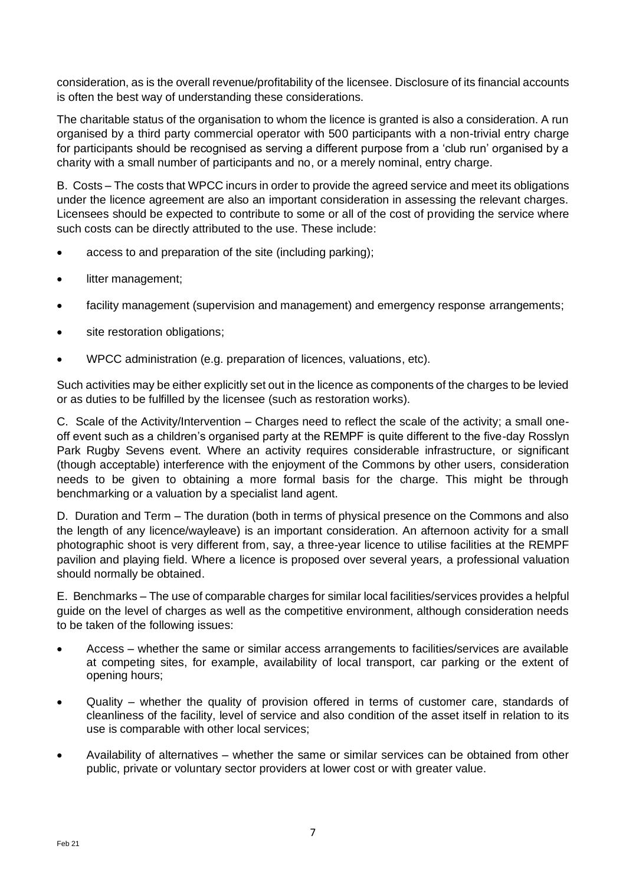consideration, as is the overall revenue/profitability of the licensee. Disclosure of its financial accounts is often the best way of understanding these considerations.

The charitable status of the organisation to whom the licence is granted is also a consideration. A run organised by a third party commercial operator with 500 participants with a non-trivial entry charge for participants should be recognised as serving a different purpose from a 'club run' organised by a charity with a small number of participants and no, or a merely nominal, entry charge.

B. Costs – The costs that WPCC incurs in order to provide the agreed service and meet its obligations under the licence agreement are also an important consideration in assessing the relevant charges. Licensees should be expected to contribute to some or all of the cost of providing the service where such costs can be directly attributed to the use. These include:

- access to and preparation of the site (including parking);
- litter management;
- facility management (supervision and management) and emergency response arrangements;
- site restoration obligations;
- WPCC administration (e.g. preparation of licences, valuations, etc).

Such activities may be either explicitly set out in the licence as components of the charges to be levied or as duties to be fulfilled by the licensee (such as restoration works).

C. Scale of the Activity/Intervention – Charges need to reflect the scale of the activity; a small oneoff event such as a children's organised party at the REMPF is quite different to the five-day Rosslyn Park Rugby Sevens event. Where an activity requires considerable infrastructure, or significant (though acceptable) interference with the enjoyment of the Commons by other users, consideration needs to be given to obtaining a more formal basis for the charge. This might be through benchmarking or a valuation by a specialist land agent.

D. Duration and Term – The duration (both in terms of physical presence on the Commons and also the length of any licence/wayleave) is an important consideration. An afternoon activity for a small photographic shoot is very different from, say, a three-year licence to utilise facilities at the REMPF pavilion and playing field. Where a licence is proposed over several years, a professional valuation should normally be obtained.

E. Benchmarks – The use of comparable charges for similar local facilities/services provides a helpful guide on the level of charges as well as the competitive environment, although consideration needs to be taken of the following issues:

- Access whether the same or similar access arrangements to facilities/services are available at competing sites, for example, availability of local transport, car parking or the extent of opening hours;
- Quality whether the quality of provision offered in terms of customer care, standards of cleanliness of the facility, level of service and also condition of the asset itself in relation to its use is comparable with other local services;
- Availability of alternatives whether the same or similar services can be obtained from other public, private or voluntary sector providers at lower cost or with greater value.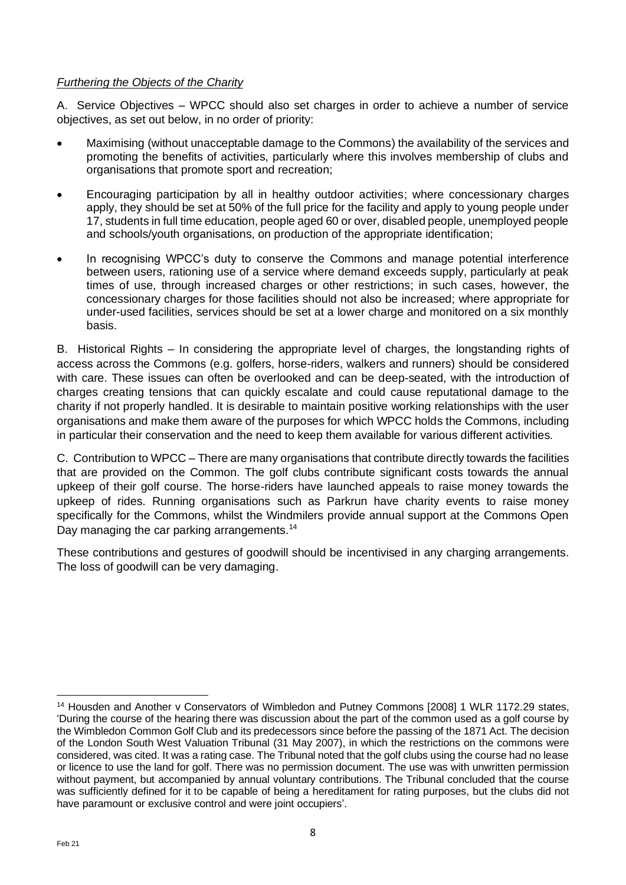# *Furthering the Objects of the Charity*

A. Service Objectives – WPCC should also set charges in order to achieve a number of service objectives, as set out below, in no order of priority:

- Maximising (without unacceptable damage to the Commons) the availability of the services and promoting the benefits of activities, particularly where this involves membership of clubs and organisations that promote sport and recreation;
- Encouraging participation by all in healthy outdoor activities; where concessionary charges apply, they should be set at 50% of the full price for the facility and apply to young people under 17, students in full time education, people aged 60 or over, disabled people, unemployed people and schools/youth organisations, on production of the appropriate identification;
- In recognising WPCC's duty to conserve the Commons and manage potential interference between users, rationing use of a service where demand exceeds supply, particularly at peak times of use, through increased charges or other restrictions; in such cases, however, the concessionary charges for those facilities should not also be increased; where appropriate for under-used facilities, services should be set at a lower charge and monitored on a six monthly basis.

B. Historical Rights – In considering the appropriate level of charges, the longstanding rights of access across the Commons (e.g. golfers, horse-riders, walkers and runners) should be considered with care. These issues can often be overlooked and can be deep-seated, with the introduction of charges creating tensions that can quickly escalate and could cause reputational damage to the charity if not properly handled. It is desirable to maintain positive working relationships with the user organisations and make them aware of the purposes for which WPCC holds the Commons, including in particular their conservation and the need to keep them available for various different activities.

C. Contribution to WPCC – There are many organisations that contribute directly towards the facilities that are provided on the Common. The golf clubs contribute significant costs towards the annual upkeep of their golf course. The horse-riders have launched appeals to raise money towards the upkeep of rides. Running organisations such as Parkrun have charity events to raise money specifically for the Commons, whilst the Windmilers provide annual support at the Commons Open Day managing the car parking arrangements.<sup>14</sup>

These contributions and gestures of goodwill should be incentivised in any charging arrangements. The loss of goodwill can be very damaging.

<sup>14</sup> Housden and Another v Conservators of Wimbledon and Putney Commons [2008] 1 WLR 1172.29 states, 'During the course of the hearing there was discussion about the part of the common used as a golf course by the Wimbledon Common Golf Club and its predecessors since before the passing of the 1871 Act. The decision of the London South West Valuation Tribunal (31 May 2007), in which the restrictions on the commons were considered, was cited. It was a rating case. The Tribunal noted that the golf clubs using the course had no lease or licence to use the land for golf. There was no permission document. The use was with unwritten permission without payment, but accompanied by annual voluntary contributions. The Tribunal concluded that the course was sufficiently defined for it to be capable of being a hereditament for rating purposes, but the clubs did not have paramount or exclusive control and were joint occupiers'.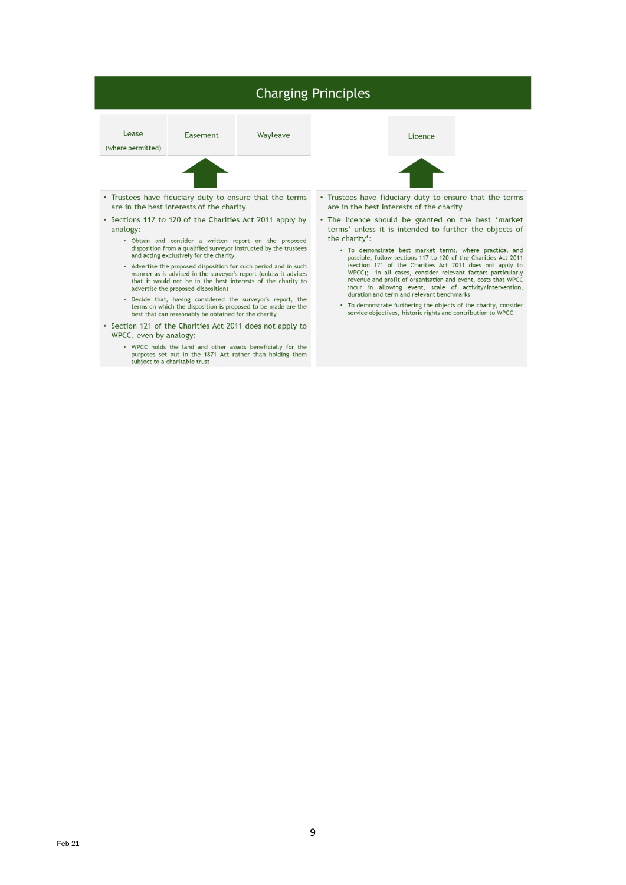# **Charging Principles**

Lease

(where permitted)

Easement

Wayleave

Licence



- Trustees have fiduciary duty to ensure that the terms are in the best interests of the charity
- Sections 117 to 120 of the Charities Act 2011 apply by analogy:
	- Obtain and consider a written report on the proposed<br>disposition from a qualified surveyor instructed by the trustees and acting exclusively for the charity
	- Advertise the proposed disposition for such period and in such manner as is advised in the surveyor's report (unless it advises<br>that it would not be in the best interests of the charity to advertise the proposed disposition)
	- Decide that, having considered the surveyor's report, the terms on which the disposition is proposed to be made are the best that can reasonably be obtained for the charity
- Section 121 of the Charities Act 2011 does not apply to WPCC, even by analogy:
	- WPCC holds the land and other assets beneficially for the purposes set out in the 1871 Act rather than holding them subject to a charitable trust



- Trustees have fiduciary duty to ensure that the terms are in the best interests of the charity
- . The licence should be granted on the best 'market terms' unless it is intended to further the objects of the charity':
	- To demonstrate best market terms, where practical and<br>possible, follow sections 117 to 120 of the Charities Act 2011<br>(section 121 of the Charities Act 2011 does not apply to<br>wPCC); in all cases, consider relevant factors p
	- To demonstrate furthering the objects of the charity, consider<br>service objectives, historic rights and contribution to WPCC